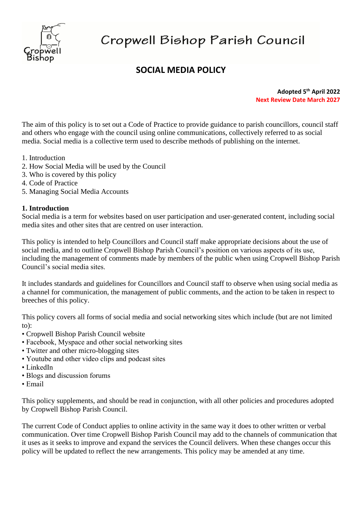

# Cropwell Bishop Parish Council

# **SOCIAL MEDIA POLICY**

**Adopted 5 th April 2022 Next Review Date March 2027**

The aim of this policy is to set out a Code of Practice to provide guidance to parish councillors, council staff and others who engage with the council using online communications, collectively referred to as social media. Social media is a collective term used to describe methods of publishing on the internet.

- 1. Introduction
- 2. How Social Media will be used by the Council
- 3. Who is covered by this policy
- 4. Code of Practice
- 5. Managing Social Media Accounts

#### **1. Introduction**

Social media is a term for websites based on user participation and user-generated content, including social media sites and other sites that are centred on user interaction.

This policy is intended to help Councillors and Council staff make appropriate decisions about the use of social media, and to outline Cropwell Bishop Parish Council's position on various aspects of its use, including the management of comments made by members of the public when using Cropwell Bishop Parish Council's social media sites.

It includes standards and guidelines for Councillors and Council staff to observe when using social media as a channel for communication, the management of public comments, and the action to be taken in respect to breeches of this policy.

This policy covers all forms of social media and social networking sites which include (but are not limited to):

- Cropwell Bishop Parish Council website
- Facebook, Myspace and other social networking sites
- Twitter and other micro-blogging sites
- Youtube and other video clips and podcast sites
- LinkedIn
- Blogs and discussion forums
- Email

This policy supplements, and should be read in conjunction, with all other policies and procedures adopted by Cropwell Bishop Parish Council.

The current Code of Conduct applies to online activity in the same way it does to other written or verbal communication. Over time Cropwell Bishop Parish Council may add to the channels of communication that it uses as it seeks to improve and expand the services the Council delivers. When these changes occur this policy will be updated to reflect the new arrangements. This policy may be amended at any time.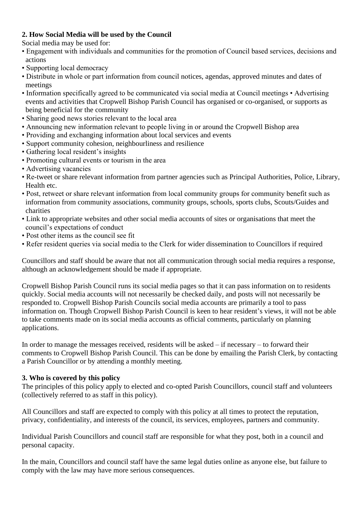## **2. How Social Media will be used by the Council**

Social media may be used for:

- Engagement with individuals and communities for the promotion of Council based services, decisions and actions
- Supporting local democracy
- Distribute in whole or part information from council notices, agendas, approved minutes and dates of meetings
- Information specifically agreed to be communicated via social media at Council meetings Advertising events and activities that Cropwell Bishop Parish Council has organised or co-organised, or supports as being beneficial for the community
- Sharing good news stories relevant to the local area
- Announcing new information relevant to people living in or around the Cropwell Bishop area
- Providing and exchanging information about local services and events
- Support community cohesion, neighbourliness and resilience
- Gathering local resident's insights
- Promoting cultural events or tourism in the area
- Advertising vacancies
- Re-tweet or share relevant information from partner agencies such as Principal Authorities, Police, Library, Health etc.
- Post, retweet or share relevant information from local community groups for community benefit such as information from community associations, community groups, schools, sports clubs, Scouts/Guides and charities
- Link to appropriate websites and other social media accounts of sites or organisations that meet the council's expectations of conduct
- Post other items as the council see fit
- Refer resident queries via social media to the Clerk for wider dissemination to Councillors if required

Councillors and staff should be aware that not all communication through social media requires a response, although an acknowledgement should be made if appropriate.

Cropwell Bishop Parish Council runs its social media pages so that it can pass information on to residents quickly. Social media accounts will not necessarily be checked daily, and posts will not necessarily be responded to. Cropwell Bishop Parish Councils social media accounts are primarily a tool to pass information on. Though Cropwell Bishop Parish Council is keen to hear resident's views, it will not be able to take comments made on its social media accounts as official comments, particularly on planning applications.

In order to manage the messages received, residents will be asked – if necessary – to forward their comments to Cropwell Bishop Parish Council. This can be done by emailing the Parish Clerk, by contacting a Parish Councillor or by attending a monthly meeting.

## **3. Who is covered by this policy**

The principles of this policy apply to elected and co-opted Parish Councillors, council staff and volunteers (collectively referred to as staff in this policy).

All Councillors and staff are expected to comply with this policy at all times to protect the reputation, privacy, confidentiality, and interests of the council, its services, employees, partners and community.

Individual Parish Councillors and council staff are responsible for what they post, both in a council and personal capacity.

In the main, Councillors and council staff have the same legal duties online as anyone else, but failure to comply with the law may have more serious consequences.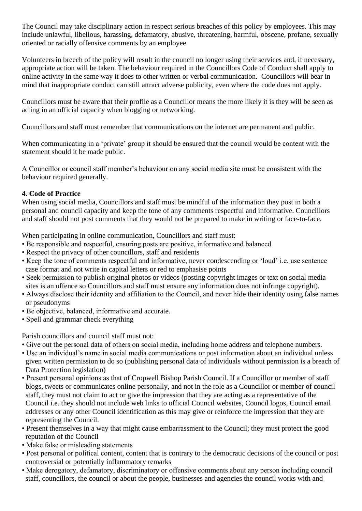The Council may take disciplinary action in respect serious breaches of this policy by employees. This may include unlawful, libellous, harassing, defamatory, abusive, threatening, harmful, obscene, profane, sexually oriented or racially offensive comments by an employee.

Volunteers in breech of the policy will result in the council no longer using their services and, if necessary, appropriate action will be taken. The behaviour required in the Councillors Code of Conduct shall apply to online activity in the same way it does to other written or verbal communication. Councillors will bear in mind that inappropriate conduct can still attract adverse publicity, even where the code does not apply.

Councillors must be aware that their profile as a Councillor means the more likely it is they will be seen as acting in an official capacity when blogging or networking.

Councillors and staff must remember that communications on the internet are permanent and public.

When communicating in a 'private' group it should be ensured that the council would be content with the statement should it be made public.

A Councillor or council staff member's behaviour on any social media site must be consistent with the behaviour required generally.

#### **4. Code of Practice**

When using social media, Councillors and staff must be mindful of the information they post in both a personal and council capacity and keep the tone of any comments respectful and informative. Councillors and staff should not post comments that they would not be prepared to make in writing or face-to-face.

When participating in online communication, Councillors and staff must:

- Be responsible and respectful, ensuring posts are positive, informative and balanced
- Respect the privacy of other councillors, staff and residents
- Keep the tone of comments respectful and informative, never condescending or 'loud' i.e. use sentence case format and not write in capital letters or red to emphasise points
- Seek permission to publish original photos or videos (posting copyright images or text on social media sites is an offence so Councillors and staff must ensure any information does not infringe copyright).
- Always disclose their identity and affiliation to the Council, and never hide their identity using false names or pseudonyms
- Be objective, balanced, informative and accurate.
- Spell and grammar check everything

Parish councillors and council staff must not:

- Give out the personal data of others on social media, including home address and telephone numbers.
- Use an individual's name in social media communications or post information about an individual unless given written permission to do so (publishing personal data of individuals without permission is a breach of Data Protection legislation)
- Present personal opinions as that of Cropwell Bishop Parish Council. If a Councillor or member of staff blogs, tweets or communicates online personally, and not in the role as a Councillor or member of council staff, they must not claim to act or give the impression that they are acting as a representative of the Council i.e. they should not include web links to official Council websites, Council logos, Council email addresses or any other Council identification as this may give or reinforce the impression that they are representing the Council.
- Present themselves in a way that might cause embarrassment to the Council; they must protect the good reputation of the Council
- Make false or misleading statements
- Post personal or political content, content that is contrary to the democratic decisions of the council or post controversial or potentially inflammatory remarks
- Make derogatory, defamatory, discriminatory or offensive comments about any person including council staff, councillors, the council or about the people, businesses and agencies the council works with and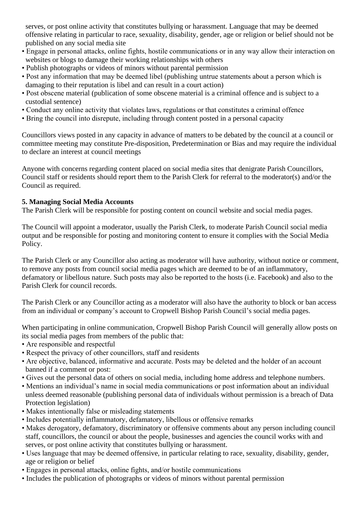serves, or post online activity that constitutes bullying or harassment. Language that may be deemed offensive relating in particular to race, sexuality, disability, gender, age or religion or belief should not be published on any social media site

- Engage in personal attacks, online fights, hostile communications or in any way allow their interaction on websites or blogs to damage their working relationships with others
- Publish photographs or videos of minors without parental permission
- Post any information that may be deemed libel (publishing untrue statements about a person which is damaging to their reputation is libel and can result in a court action)
- Post obscene material (publication of some obscene material is a criminal offence and is subject to a custodial sentence)
- Conduct any online activity that violates laws, regulations or that constitutes a criminal offence
- Bring the council into disrepute, including through content posted in a personal capacity

Councillors views posted in any capacity in advance of matters to be debated by the council at a council or committee meeting may constitute Pre-disposition, Predetermination or Bias and may require the individual to declare an interest at council meetings

Anyone with concerns regarding content placed on social media sites that denigrate Parish Councillors, Council staff or residents should report them to the Parish Clerk for referral to the moderator(s) and/or the Council as required.

#### **5. Managing Social Media Accounts**

The Parish Clerk will be responsible for posting content on council website and social media pages.

The Council will appoint a moderator, usually the Parish Clerk, to moderate Parish Council social media output and be responsible for posting and monitoring content to ensure it complies with the Social Media Policy.

The Parish Clerk or any Councillor also acting as moderator will have authority, without notice or comment, to remove any posts from council social media pages which are deemed to be of an inflammatory, defamatory or libellous nature. Such posts may also be reported to the hosts (i.e. Facebook) and also to the Parish Clerk for council records.

The Parish Clerk or any Councillor acting as a moderator will also have the authority to block or ban access from an individual or company's account to Cropwell Bishop Parish Council's social media pages.

When participating in online communication, Cropwell Bishop Parish Council will generally allow posts on its social media pages from members of the public that:

- Are responsible and respectful
- Respect the privacy of other councillors, staff and residents
- Are objective, balanced, informative and accurate. Posts may be deleted and the holder of an account banned if a comment or post:
- Gives out the personal data of others on social media, including home address and telephone numbers.
- Mentions an individual's name in social media communications or post information about an individual unless deemed reasonable (publishing personal data of individuals without permission is a breach of Data Protection legislation)
- Makes intentionally false or misleading statements
- Includes potentially inflammatory, defamatory, libellous or offensive remarks
- Makes derogatory, defamatory, discriminatory or offensive comments about any person including council staff, councillors, the council or about the people, businesses and agencies the council works with and serves, or post online activity that constitutes bullying or harassment.
- Uses language that may be deemed offensive, in particular relating to race, sexuality, disability, gender, age or religion or belief
- Engages in personal attacks, online fights, and/or hostile communications
- Includes the publication of photographs or videos of minors without parental permission